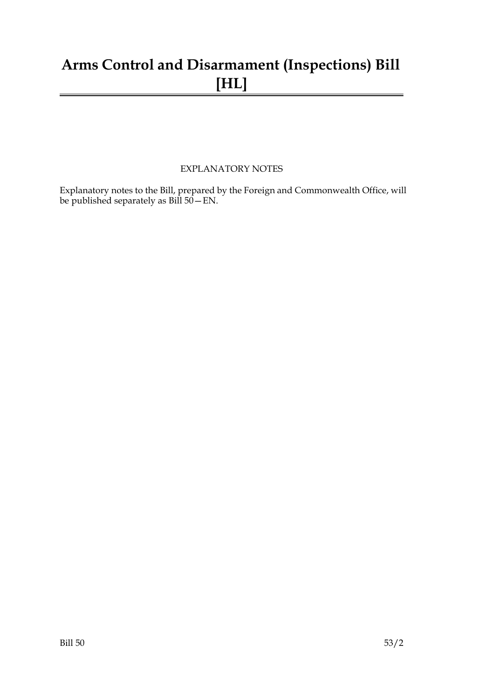# **Arms Control and Disarmament (Inspections) Bill [HL]**

### EXPLANATORY NOTES

Explanatory notes to the Bill, prepared by the Foreign and Commonwealth Office, will be published separately as Bill 50—EN.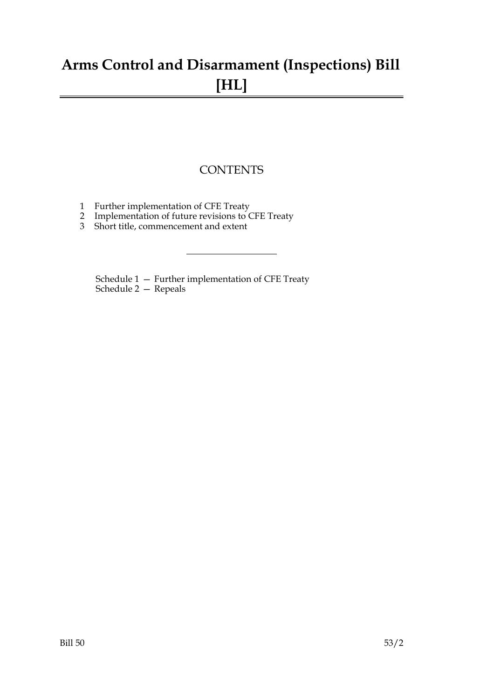# **Arms Control and Disarmament (Inspections) Bill [HL]**

## **CONTENTS**

- 1 Further implementation of CFE Treaty
- 2 Implementation of future revisions to CFE Treaty
- 3 Short title, commencement and extent

Schedule 1 — Further implementation of CFE Treaty Schedule 2 — Repeals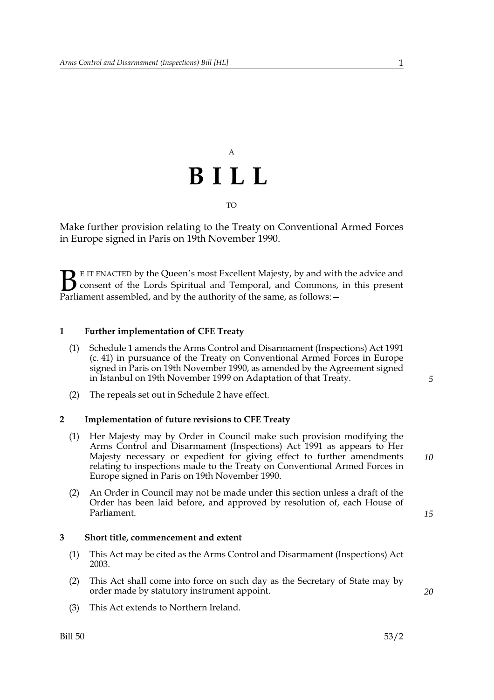# A **BILL** TO

Make further provision relating to the Treaty on Conventional Armed Forces in Europe signed in Paris on 19th November 1990.

E IT ENACTED by the Queen's most Excellent Majesty, by and with the advice and consent of the Lords Spiritual and Temporal, and Commons, in this present **B** E IT ENACTED by the Queen's most Excellent Majesty, by and with consent of the Lords Spiritual and Temporal, and Commons, Parliament assembled, and by the authority of the same, as follows:  $-$ 

#### <span id="page-4-0"></span>**1 Further implementation of CFE Treaty**

- (1) Schedule [1](#page-6-0) amends the Arms Control and Disarmament (Inspections) Act 1991 (c. 41) in pursuance of the Treaty on Conventional Armed Forces in Europe signed in Paris on 19th November 1990, as amended by the Agreement signed in Istanbul on 19th November 1999 on Adaptation of that Treaty.
- (2) The repeals set out in Schedule [2](#page-7-0) have effect.

#### **2 Implementation of future revisions to CFE Treaty**

- (1) Her Majesty may by Order in Council make such provision modifying the Arms Control and Disarmament (Inspections) Act 1991 as appears to Her Majesty necessary or expedient for giving effect to further amendments relating to inspections made to the Treaty on Conventional Armed Forces in Europe signed in Paris on 19th November 1990.
- (2) An Order in Council may not be made under this section unless a draft of the Order has been laid before, and approved by resolution of, each House of Parliament.

#### **3 Short title, commencement and extent**

- (1) This Act may be cited as the Arms Control and Disarmament (Inspections) Act 2003.
- (2) This Act shall come into force on such day as the Secretary of State may by order made by statutory instrument appoint.
- (3) This Act extends to Northern Ireland.

*10*

*5*

*15*

*20*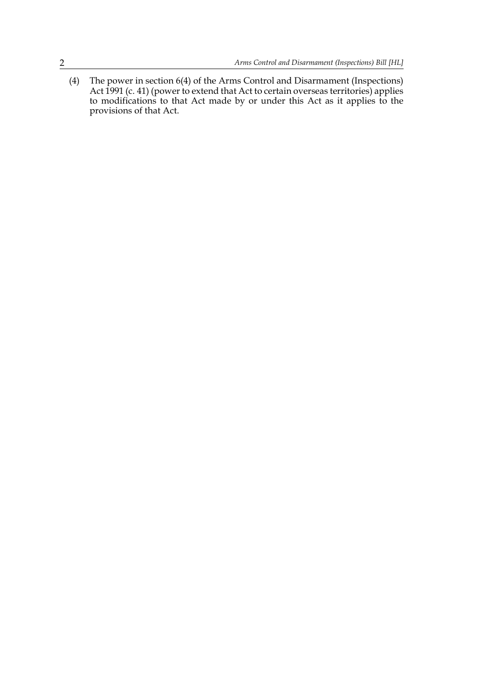(4) The power in section 6(4) of the Arms Control and Disarmament (Inspections) Act 1991 (c. 41) (power to extend that Act to certain overseas territories) applies to modifications to that Act made by or under this Act as it applies to the provisions of that Act.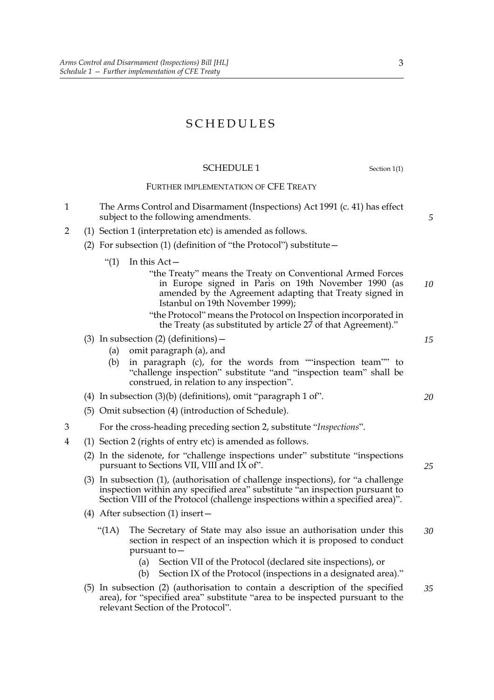## SCHEDULES

### <span id="page-6-0"></span>SCHEDULE 1 Section [1\(](#page-4-0)1)

#### FURTHER IMPLEMENTATION OF CFE TREATY

- 1 The Arms Control and Disarmament (Inspections) Act 1991 (c. 41) has effect subject to the following amendments.
- 2 (1) Section 1 (interpretation etc) is amended as follows.
	- (2) For subsection (1) (definition of "the Protocol") substitute—
		- " $(1)$  In this Act
			- "the Treaty" means the Treaty on Conventional Armed Forces in Europe signed in Paris on 19th November 1990 (as amended by the Agreement adapting that Treaty signed in Istanbul on 19th November 1999); *10*
			- "the Protocol" means the Protocol on Inspection incorporated in the Treaty (as substituted by article 27 of that Agreement)."
	- (3) In subsection (2) (definitions)  $-$ 
		- (a) omit paragraph (a), and
		- (b) in paragraph (c), for the words from ""inspection team"" to "challenge inspection" substitute "and "inspection team" shall be construed, in relation to any inspection".
	- (4) In subsection (3)(b) (definitions), omit "paragraph 1 of".
	- (5) Omit subsection (4) (introduction of Schedule).
- 3 For the cross-heading preceding section 2, substitute "*Inspections*".
- 4 (1) Section 2 (rights of entry etc) is amended as follows.
	- (2) In the sidenote, for "challenge inspections under" substitute "inspections pursuant to Sections VII, VIII and IX of".
	- (3) In subsection (1), (authorisation of challenge inspections), for "a challenge inspection within any specified area" substitute "an inspection pursuant to Section VIII of the Protocol (challenge inspections within a specified area)".
	- (4) After subsection (1) insert—
		- "(1A) The Secretary of State may also issue an authorisation under this section in respect of an inspection which it is proposed to conduct pursuant to— *30*
			- (a) Section VII of the Protocol (declared site inspections), or
			- (b) Section IX of the Protocol (inspections in a designated area)."
	- (5) In subsection (2) (authorisation to contain a description of the specified area), for "specified area" substitute "area to be inspected pursuant to the relevant Section of the Protocol". *35*

*20*

*15*

*5*

*25*